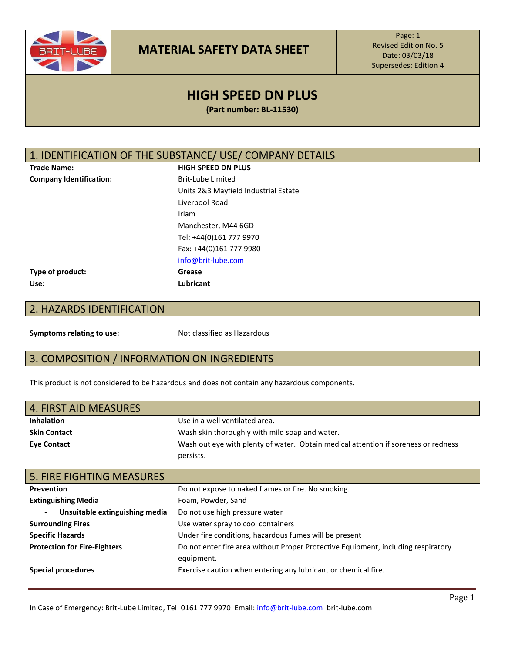

Page: 1 Revised Edition No. 5 Date: 03/03/18 Supersedes: Edition 4

# **HIGH SPEED DN PLUS**

**(Part number: BL-11530)**

#### 1. IDENTIFICATION OF THE SUBSTANCE/ USE/ COMPANY DETAILS

**Trade Name: HIGH SPEED DN PLUS Company Identification:** Brit-Lube Limited Units 2&3 Mayfield Industrial Estate Liverpool Road Irlam Manchester, M44 6GD Tel: +44(0)161 777 9970 Fax: +44(0)161 777 9980 [info@brit-lube.com](mailto:info@brit-lube.com) **Use: Lubricant**

**Type of product: Grease**

# 2. HAZARDS IDENTIFICATION

**Symptoms relating to use:** Not classified as Hazardous

## 3. COMPOSITION / INFORMATION ON INGREDIENTS

This product is not considered to be hazardous and does not contain any hazardous components.

| 4. FIRST AID MEASURES |                                                                                    |
|-----------------------|------------------------------------------------------------------------------------|
| <b>Inhalation</b>     | Use in a well ventilated area.                                                     |
| <b>Skin Contact</b>   | Wash skin thoroughly with mild soap and water.                                     |
| <b>Eye Contact</b>    | Wash out eye with plenty of water. Obtain medical attention if soreness or redness |
|                       | persists.                                                                          |

| <b>5. FIRE FIGHTING MEASURES</b>    |                                                                                   |
|-------------------------------------|-----------------------------------------------------------------------------------|
| <b>Prevention</b>                   | Do not expose to naked flames or fire. No smoking.                                |
| <b>Extinguishing Media</b>          | Foam, Powder, Sand                                                                |
| Unsuitable extinguishing media      | Do not use high pressure water                                                    |
| <b>Surrounding Fires</b>            | Use water spray to cool containers                                                |
| <b>Specific Hazards</b>             | Under fire conditions, hazardous fumes will be present                            |
| <b>Protection for Fire-Fighters</b> | Do not enter fire area without Proper Protective Equipment, including respiratory |
|                                     | equipment.                                                                        |
| Special procedures                  | Exercise caution when entering any lubricant or chemical fire.                    |
|                                     |                                                                                   |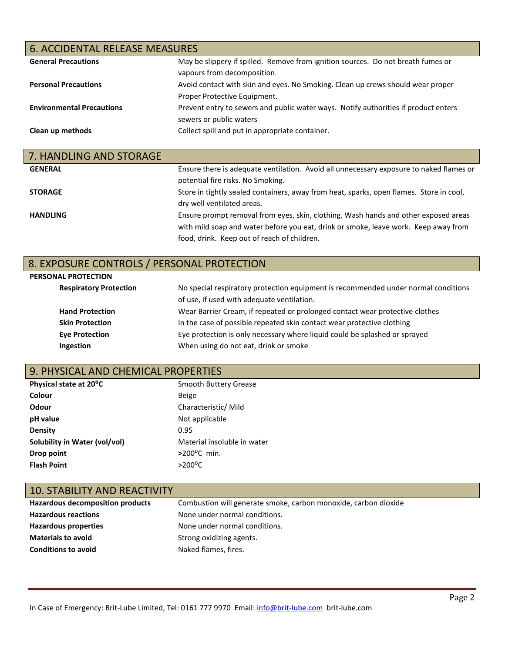# 6. ACCIDENTAL RELEASE MEASURES

| <b>General Precautions</b>       | May be slippery if spilled. Remove from ignition sources. Do not breath fumes or    |
|----------------------------------|-------------------------------------------------------------------------------------|
|                                  | vapours from decomposition.                                                         |
| <b>Personal Precautions</b>      | Avoid contact with skin and eyes. No Smoking. Clean up crews should wear proper     |
|                                  | Proper Protective Equipment.                                                        |
| <b>Environmental Precautions</b> | Prevent entry to sewers and public water ways. Notify authorities if product enters |
|                                  | sewers or public waters                                                             |
| Clean up methods                 | Collect spill and put in appropriate container.                                     |
|                                  |                                                                                     |

| 7. HANDLING AND STORAGE |                                                                                         |
|-------------------------|-----------------------------------------------------------------------------------------|
| <b>GENERAL</b>          | Ensure there is adequate ventilation. Avoid all unnecessary exposure to naked flames or |
|                         | potential fire risks. No Smoking.                                                       |
| <b>STORAGE</b>          | Store in tightly sealed containers, away from heat, sparks, open flames. Store in cool, |
|                         | dry well ventilated areas.                                                              |
| <b>HANDLING</b>         | Ensure prompt removal from eyes, skin, clothing. Wash hands and other exposed areas     |
|                         | with mild soap and water before you eat, drink or smoke, leave work. Keep away from     |
|                         | food, drink. Keep out of reach of children.                                             |

### 8. EXPOSURE CONTROLS / PERSONAL PROTECTION

#### **PERSONAL PROTECTION**

| <b>Respiratory Protection</b> | No special respiratory protection equipment is recommended under normal conditions |
|-------------------------------|------------------------------------------------------------------------------------|
|                               | of use, if used with adequate ventilation.                                         |
| <b>Hand Protection</b>        | Wear Barrier Cream, if repeated or prolonged contact wear protective clothes       |
| <b>Skin Protection</b>        | In the case of possible repeated skin contact wear protective clothing             |
| <b>Eye Protection</b>         | Eye protection is only necessary where liquid could be splashed or sprayed         |
| Ingestion                     | When using do not eat, drink or smoke                                              |

# 9. PHYSICAL AND CHEMICAL PROPERTIES

| Physical state at 20°C        | Smooth Buttery Grease       |
|-------------------------------|-----------------------------|
| Colour                        | <b>Beige</b>                |
| Odour                         | Characteristic/ Mild        |
| pH value                      | Not applicable              |
| Density                       | 0.95                        |
| Solubility in Water (vol/vol) | Material insoluble in water |
| Drop point                    | $>200^{\circ}$ C min.       |
| <b>Flash Point</b>            | $>200^{\circ}$ C            |

#### 10. STABILITY AND REACTIVITY

| Hazardous decomposition products | Combustion will generate smoke, carbon monoxide, carbon dioxide |
|----------------------------------|-----------------------------------------------------------------|
| <b>Hazardous reactions</b>       | None under normal conditions.                                   |
| Hazardous properties             | None under normal conditions.                                   |
| <b>Materials to avoid</b>        | Strong oxidizing agents.                                        |
| <b>Conditions to avoid</b>       | Naked flames, fires.                                            |